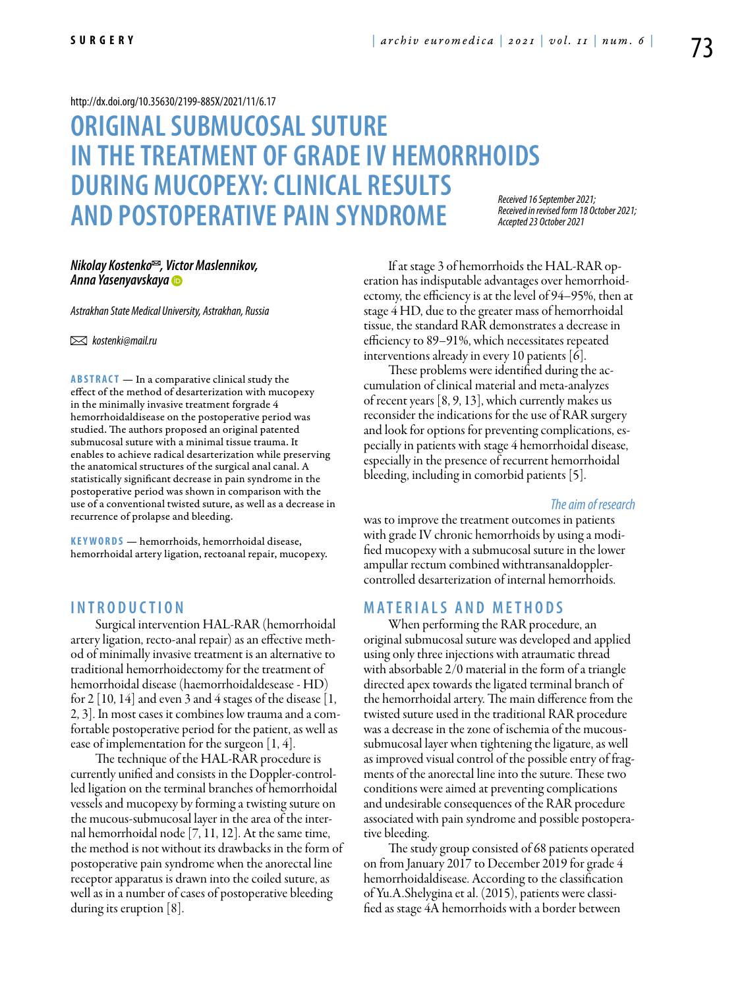#### <http://dx.doi.org/10.35630/2199-885X/2021/11/6.17>

# **ORIGINALSUBMUCOSALSUTURE IN THETREATMENT OF GRADEIV HEMORRHOIDS DURING MUCOPEXY: CLINICAL RESULTS AND POSTOPERATIVE PAIN SYNDROME**

*Received 16 September 2021; Received in revised form 18 October 2021; Accepted 23 October 2021*

# *Nikolay Kostenko<sup>∞</sup>, Victor Maslennikov, [Anna Yasenyavskaya](https://orcid.org/0000-0003-2998-2864)*

*Astrakhan State Medical University, Astrakhan, Russia*

 *kostenki@mail.ru* 

**ABSTRACT** — In a comparative clinical study the effect of the method of desarterization with mucopexy in the minimally invasive treatment forgrade 4 hemorrhoidaldisease on the postoperative period was studied. The authors proposed an original patented submucosal suture with a minimal tissue trauma. It enables to achieve radical desarterization while preserving the anatomical structures of the surgical anal canal. A statistically significant decrease in pain syndrome in the postoperative period was shown in comparison with the use of a conventional twisted suture, as well as a decrease in recurrence of prolapse and bleeding.

KEYWORDS — hemorrhoids, hemorrhoidal disease, hemorrhoidal artery ligation, rectoanal repair, mucopexy.

## **I n t r o d uct i o n**

Surgical intervention HAL-RAR (hemorrhoidal artery ligation, recto-anal repair) as an effective method of minimally invasive treatment is an alternative to traditional hemorrhoidectomy for the treatment of hemorrhoidal disease (haemorrhoidaldesease - HD) for 2 [10, 14] and even 3 and 4 stages of the disease [1, 2, 3]. In most cases it combines low trauma and a comfortable postoperative period for the patient, as well as ease of implementation for the surgeon [1, 4].

The technique of the HAL-RAR procedure is currently unified and consists in the Doppler-controlled ligation on the terminal branches of hemorrhoidal vessels and mucopexy by forming a twisting suture on the mucous-submucosal layer in the area of the internal hemorrhoidal node [7, 11, 12]. At the same time, the method is not without its drawbacks in the form of postoperative pain syndrome when the anorectal line receptor apparatus is drawn into the coiled suture, as well as in a number of cases of postoperative bleeding during its eruption [8].

If at stage 3 of hemorrhoids the HAL-RAR operation has indisputable advantages over hemorrhoidectomy, the efficiency is at the level of 94–95%, then at stage 4 HD, due to the greater mass of hemorrhoidal tissue, the standard RAR demonstrates a decrease in efficiency to 89–91%, which necessitates repeated interventions already in every 10 patients [6].

These problems were identified during the accumulation of clinical material and meta-analyzes of recent years [8, 9, 13], which currently makes us reconsider the indications for the use of RAR surgery and look for options for preventing complications, especially in patients with stage 4 hemorrhoidal disease, especially in the presence of recurrent hemorrhoidal bleeding, including in comorbid patients [5].

#### *The aim of research*

was to improve the treatment outcomes in patients with grade IV chronic hemorrhoids by using a modified mucopexy with a submucosal suture in the lower ampullar rectum combined withtransanaldopplercontrolled desarterization of internal hemorrhoids.

# **MATERIALS AND METHODS**

When performing the RAR procedure, an original submucosal suture was developed and applied using only three injections with atraumatic thread with absorbable 2/0 material in the form of a triangle directed apex towards the ligated terminal branch of the hemorrhoidal artery. The main difference from the twisted suture used in the traditional RAR procedure was a decrease in the zone of ischemia of the mucoussubmucosal layer when tightening the ligature, as well as improved visual control of the possible entry of fragments of the anorectal line into the suture. These two conditions were aimed at preventing complications and undesirable consequences of the RAR procedure associated with pain syndrome and possible postoperative bleeding.

The study group consisted of 68 patients operated on from January 2017 to December 2019 for grade 4 hemorrhoidaldisease. According to the classification of Yu.A.Shelygina et al. (2015), patients were classified as stage 4A hemorrhoids with a border between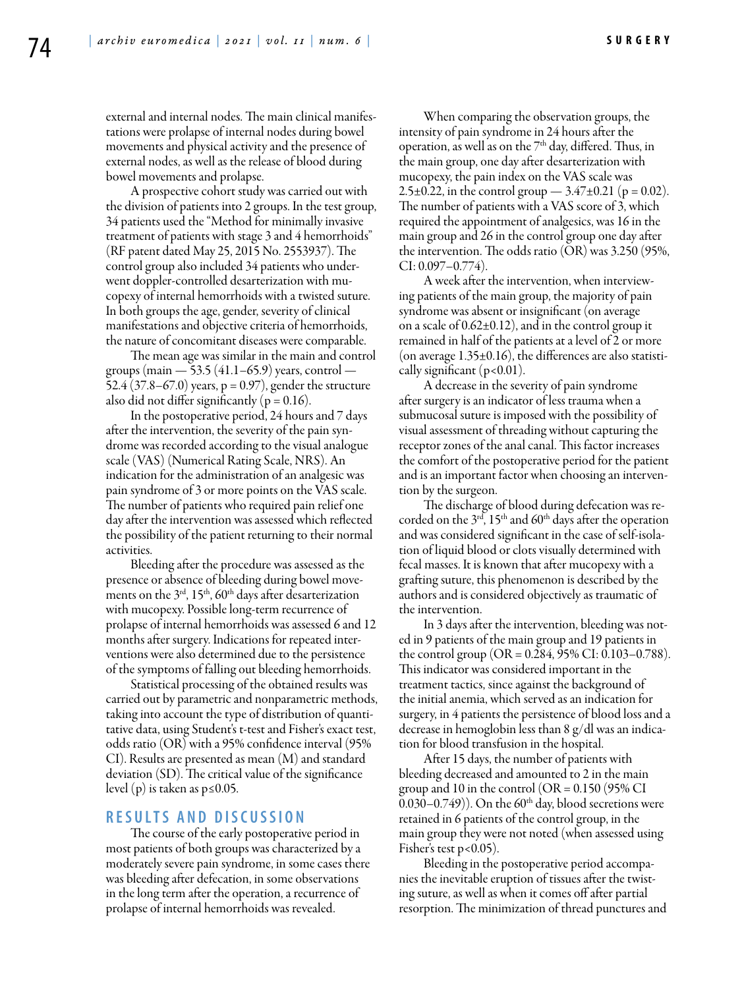external and internal nodes. The main clinical manifestations were prolapse of internal nodes during bowel movements and physical activity and the presence of external nodes, as well as the release of blood during bowel movements and prolapse.

A prospective cohort study was carried out with the division of patients into 2 groups. In the test group, 34 patients used the "Method for minimally invasive treatment of patients with stage 3 and 4 hemorrhoids" (RF patent dated May 25, 2015 No. 2553937). The control group also included 34 patients who underwent doppler-controlled desarterization with mucopexy of internal hemorrhoids with a twisted suture. In both groups the age, gender, severity of clinical manifestations and objective criteria of hemorrhoids, the nature of concomitant diseases were comparable.

The mean age was similar in the main and control groups (main — 53.5 (41.1–65.9) years, control — 52.4 (37.8–67.0) years,  $p = 0.97$ ), gender the structure also did not differ significantly ( $p = 0.16$ ).

In the postoperative period, 24 hours and 7 days after the intervention, the severity of the pain syndrome was recorded according to the visual analogue scale (VAS) (Numerical Rating Scale, NRS). An indication for the administration of an analgesic was pain syndrome of 3 or more points on the VAS scale. The number of patients who required pain relief one day after the intervention was assessed which reflected the possibility of the patient returning to their normal activities.

Bleeding after the procedure was assessed as the presence or absence of bleeding during bowel movements on the  $3<sup>rd</sup>$ ,  $15<sup>th</sup>$ ,  $60<sup>th</sup>$  days after desarterization with mucopexy. Possible long-term recurrence of prolapse of internal hemorrhoids was assessed 6 and 12 months after surgery. Indications for repeated interventions were also determined due to the persistence of the symptoms of falling out bleeding hemorrhoids.

Statistical processing of the obtained results was carried out by parametric and nonparametric methods, taking into account the type of distribution of quantitative data, using Student's t-test and Fisher's exact test, odds ratio (OR) with a 95% confidence interval (95% CI). Results are presented as mean (M) and standard deviation (SD). The critical value of the significance level (p) is taken as p≤0.05.

# **R e s u l t s a n d d i scu s s i o n**

The course of the early postoperative period in most patients of both groups was characterized by a moderately severe pain syndrome, in some cases there was bleeding after defecation, in some observations in the long term after the operation, a recurrence of prolapse of internal hemorrhoids was revealed.

When comparing the observation groups, the intensity of pain syndrome in 24 hours after the operation, as well as on the  $7<sup>th</sup>$  day, differed. Thus, in the main group, one day after desarterization with mucopexy, the pain index on the VAS scale was 2.5 $\pm$ 0.22, in the control group — 3.47 $\pm$ 0.21 (p = 0.02). The number of patients with a VAS score of 3, which required the appointment of analgesics, was 16 in the main group and 26 in the control group one day after the intervention. The odds ratio (OR) was 3.250 (95%, CI: 0.097–0.774).

A week after the intervention, when interviewing patients of the main group, the majority of pain syndrome was absent or insignificant (on average on a scale of  $0.62\pm0.12$ ), and in the control group it remained in half of the patients at a level of 2 or more (on average  $1.35\pm0.16$ ), the differences are also statistically significant  $(p<0.01)$ .

A decrease in the severity of pain syndrome after surgery is an indicator of less trauma when a submucosal suture is imposed with the possibility of visual assessment of threading without capturing the receptor zones of the anal canal. This factor increases the comfort of the postoperative period for the patient and is an important factor when choosing an intervention by the surgeon.

The discharge of blood during defecation was recorded on the  $3<sup>rd</sup>$ , 15<sup>th</sup> and 60<sup>th</sup> days after the operation and was considered significant in the case of self-isolation of liquid blood or clots visually determined with fecal masses. It is known that after mucopexy with a grafting suture, this phenomenon is described by the authors and is considered objectively as traumatic of the intervention.

In 3 days after the intervention, bleeding was noted in 9 patients of the main group and 19 patients in the control group (OR =  $0.284$ , 95% CI:  $0.103 - 0.788$ ). This indicator was considered important in the treatment tactics, since against the background of the initial anemia, which served as an indication for surgery, in 4 patients the persistence of blood loss and a decrease in hemoglobin less than 8 g/dl was an indication for blood transfusion in the hospital.

After 15 days, the number of patients with bleeding decreased and amounted to 2 in the main group and 10 in the control ( $OR = 0.150$  ( $95\%$  CI 0.030–0.749)). On the  $60<sup>th</sup>$  day, blood secretions were retained in 6 patients of the control group, in the main group they were not noted (when assessed using Fisher's test p<0.05).

Bleeding in the postoperative period accompanies the inevitable eruption of tissues after the twisting suture, as well as when it comes off after partial resorption. The minimization of thread punctures and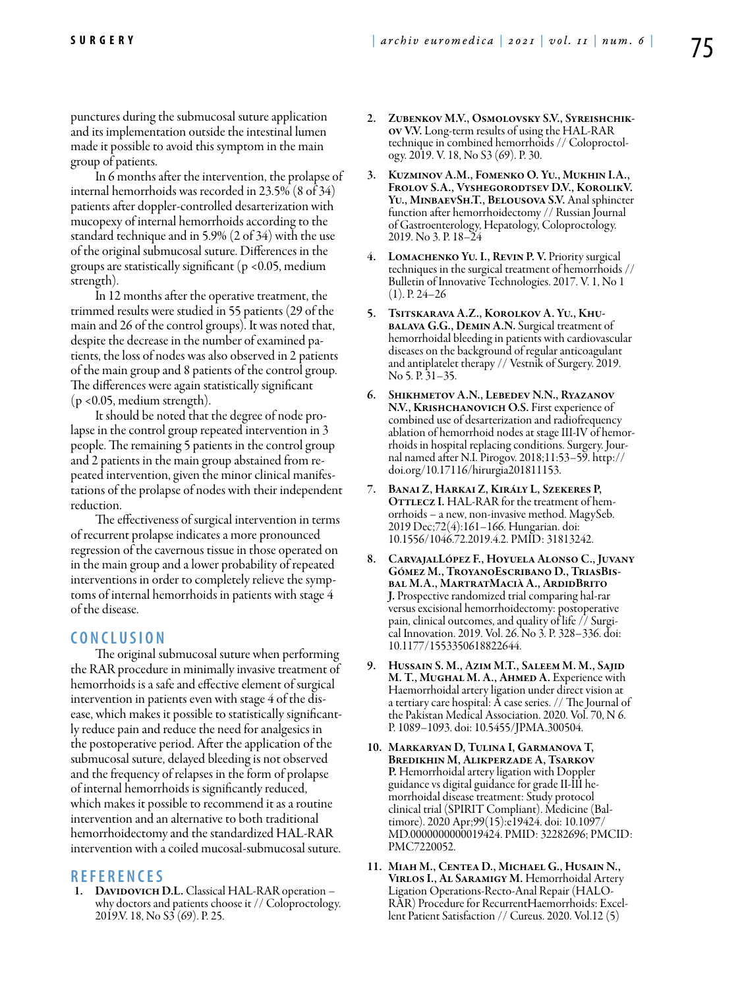punctures during the submucosal suture application and its implementation outside the intestinal lumen made it possible to avoid this symptom in the main group of patients.

In 6 months after the intervention, the prolapse of internal hemorrhoids was recorded in 23.5% (8 of 34) patients after doppler-controlled desarterization with mucopexy of internal hemorrhoids according to the standard technique and in 5.9% (2 of 34) with the use of the original submucosal suture. Differences in the groups are statistically significant ( $p$  <0.05, medium strength).

In 12 months after the operative treatment, the trimmed results were studied in 55 patients (29 of the main and 26 of the control groups). It was noted that, despite the decrease in the number of examined patients, the loss of nodes was also observed in 2 patients of the main group and 8 patients of the control group. The differences were again statistically significant (p <0.05, medium strength).

It should be noted that the degree of node prolapse in the control group repeated intervention in 3 people. The remaining 5 patients in the control group and 2 patients in the main group abstained from repeated intervention, given the minor clinical manifestations of the prolapse of nodes with their independent reduction.

The effectiveness of surgical intervention in terms of recurrent prolapse indicates a more pronounced regression of the cavernous tissue in those operated on in the main group and a lower probability of repeated interventions in order to completely relieve the symptoms of internal hemorrhoids in patients with stage 4 of the disease.

## **C o n cl u s i o n**

The original submucosal suture when performing the RAR procedure in minimally invasive treatment of hemorrhoids is a safe and effective element of surgical intervention in patients even with stage 4 of the disease, which makes it possible to statistically significantly reduce pain and reduce the need for analgesics in the postoperative period. After the application of the submucosal suture, delayed bleeding is not observed and the frequency of relapses in the form of prolapse of internal hemorrhoids is significantly reduced, which makes it possible to recommend it as a routine intervention and an alternative to both traditional hemorrhoidectomy and the standardized HAL-RAR intervention with a coiled mucosal-submucosal suture.

## **R efe r e n ce s**

1. DAVIDOVICH D.L. Classical HAL-RAR operation why doctors and patients choose it // Coloproctology. 2019.V. 18, No S3 (69). P. 25.

- 2. Zubenkov M.V., Osmolovsky S.V., Syreishchikov V.V. Long-term results of using the HAL-RAR technique in combined hemorrhoids // Coloproctology. 2019. V. 18, No S3 (69). P. 30.
- 3. Kuzminov A.M., Fomenko O. Yu., Mukhin I.A., Frolov S.A., Vyshegorodtsev D.V., KorolikV. YU., MINBAEVSH.T., BELOUSOVA S.V. Anal sphincter function after hemorrhoidectomy // Russian Journal of Gastroenterology, Hepatology, Coloproctology. 2019. No 3. P. 18–24
- 4. Lomachenko Yu. I., Revin P. V. Priority surgical techniques in the surgical treatment of hemorrhoids // Bulletin of Innovative Technologies. 2017. V. 1, No 1  $(1)$ . P. 24–26
- 5. Tsitskarava A.Z., Korolkov A. Yu., Khu- balava G.G., Demin A.N. Surgical treatment of hemorrhoidal bleeding in patients with cardiovascular diseases on the background of regular anticoagulant and antiplatelet therapy // Vestnik of Surgery. 2019. No 5. P. 31–35.
- 6. Shikhmetov A.N., Lebedev N.N., Ryazanov N.V., Krishchanovich O.S. First experience of combined use of desarterization and radiofrequency ablation of hemorrhoid nodes at stage III-IV of hemorrhoids in hospital replacing conditions. Surgery. Journal named after N.I. Pirogov. 2018;11:53–59. http:// doi.org/10.17116/hirurgia201811153.
- 7. Banai Z, Harkai Z, Király L, Szekeres P, OTTLECZ I. HAL-RAR for the treatment of hemorrhoids – a new, non-invasive method. MagySeb. 2019 Dec;72(4):161–166. Hungarian. doi: 10.1556/1046.72.2019.4.2. PMID: 31813242.
- 8. CarvajalLópez F., Hoyuela Alonso C., Juvany Gómez M., TroyanoEscribano D., TriasBisbal M.A., MartratMacià A., ArdidBrito J. Prospective randomized trial comparing hal-rar versus excisional hemorrhoidectomy: postoperative pain, clinical outcomes, and quality of life // Surgical Innovation. 2019. Vol. 26. No 3. P. 328–336. doi: 10.1177/1553350618822644.
- 9. Hussain S. M., Azim M.T., Saleem M. M., Sajid M. T., Mughal M. A., Ahmed A. Experience with Haemorrhoidal artery ligation under direct vision at a tertiary care hospital: A case series. // The Journal of the Pakistan Medical Association. 2020. Vol. 70, N 6. P. 1089–1093. doi: 10.5455/JPMA.300504.
- 10. Markaryan D, Tulina I, Garmanova T, Bredikhin M, Alikperzade A, Tsarkov P. Hemorrhoidal artery ligation with Doppler guidance vs digital guidance for grade II-III hemorrhoidal disease treatment: Study protocol clinical trial (SPIRIT Compliant). Medicine (Baltimore). 2020 Apr;99(15):e19424. doi: 10.1097/ MD.0000000000019424. PMID: 32282696; PMCID: PMC7220052.
- 11. Miah M., Centea D., Michael G., Husain N., Virlos I., Al Saramigy M. Hemorrhoidal Artery Ligation Operations-Recto-Anal Repair (HALOlent Patient Satisfaction // Cureus. 2020. Vol.12 (5)